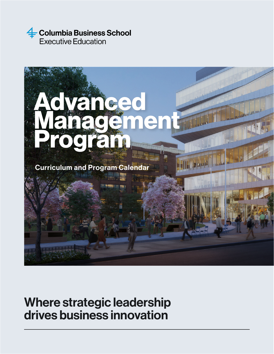



## Where strategic leadership drives business innovation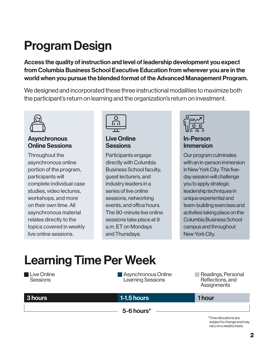# Program Design

Access the quality of instruction and level of leadership development you expect from Columbia Business School Executive Education from wherever you are in the world when you pursue the blended format of the Advanced Management Program.

We designed and incorporated these three instructional modalities to maximize both the participant's return on learning and the organization's return on investment.



#### **Asynchronous** Online Sessions

Throughout the asynchronous online portion of the program, participants will complete individual case studies, video lectures, workshops, and more on their own time. All asynchronous material relates directly to the topics covered in weekly live online sessions.



Live Online **Sessions** 

Participants engage directly with Columbia Business School faculty, guest lecturers, and industry leaders in a series of live online sessions, networking events, and office hours. The 90-minute live online sessions take place at 9 a.m. ET on Mondays and Thursdays.



In-Person Immersion

Our program culminates with an in-person immersion in New York City. This fiveday session will challenge you to apply strategic leadership techniques in unique experiential and team-building exercises and activities taking place on the Columbia Business School campus and throughout New York City.

# Learning Time Per Week

| <b>Live Online</b><br><b>Sessions</b> | Asynchronous Online<br>Learning Sessions | Readings, Personal<br>Reflections, and<br>Assignments                         |
|---------------------------------------|------------------------------------------|-------------------------------------------------------------------------------|
| 3 hours                               | <b>1-1.5 hours</b>                       | 1 hour                                                                        |
|                                       | $5-6$ hours $*$                          |                                                                               |
|                                       |                                          | *Time allocations are<br>subject to change and may<br>vary on a weekly basis. |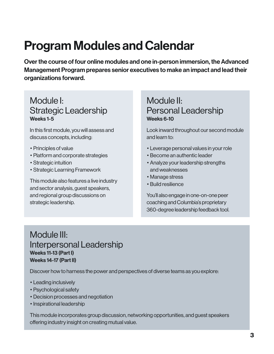## Program Modules and Calendar

Over the course of four online modules and one in-person immersion, the Advanced Management Program prepares senior executives to make an impact and lead their organizations forward.

## Module I: Strategic Leadership Weeks 1-5

In this first module, you will assess and discuss concepts, including:

- Principles of value
- Platform and corporate strategies
- Strategic intuition
- Strategic Learning Framework

This module also features a live industry and sector analysis, guest speakers, and regional group discussions on strategic leadership.

## Module II: Personal Leadership Weeks 6-10

Look inward throughout our second module and learn to:

- Leverage personal values in your role
- Become an authentic leader
- •Analyze your leadership strengths and weaknesses
- Manage stress
- Build resilience

You'll also engage in one-on-one peer coaching and Columbia's proprietary 360-degree leadership feedback tool.

### Module III: Interpersonal Leadership Weeks 11-13 (Part I) Weeks 14-17 (Part II)

Discover how to harness the power and perspectives of diverse teams as you explore:

- Leading inclusively
- Psychological safety
- Decision processes and negotiation
- Inspirational leadership

This module incorporates group discussion, networking opportunities, and guest speakers offering industry insight on creating mutual value.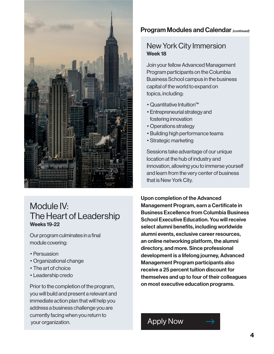

## Module IV: The Heart of Leadership Weeks 19-22

Our program culminates in a final module covering:

- Persuasion
- Organizational change
- The art of choice
- Leadership credo

Prior to the completion of the program, you will build and present a relevant and immediate action plan that will help you address a business challenge you are currently facing when you return to your organization.

#### Program Modules and Calendar *(continued)*

#### New York City Immersion Week 18

Join your fellow Advanced Management Program participants on the Columbia Business School campus in the business capital of the world to expand on topics, including:

- Quantitative Intuition™
- •Entrepreneurial strategy and fostering innovation
- Operations strategy
- Building high performance teams
- Strategic marketing

Sessions take advantage of our unique location at the hub of industry and innovation, allowing you to immerse yourself and learn from the very center of business that is New York City.

Upon completion of the Advanced Management Program, earn a Certificate in Business Excellence from Columbia Business School Executive Education. You will receive select alumni benefits, including worldwide alumni events, exclusive career resources, an online networking platform, the alumni directory, and more. Since professional development is a lifelong journey, Advanced Management Program participants also receive a 25 percent tuition discount for themselves and up to four of their colleagues on most executive education programs.

## [Apply Now](https://apply.cbs-amp.execed.gsb.columbia.edu/AMP/CommunitiesSelfReg?_gl=1*1d3490s*_gcl_aw*R0NMLjE2MTkwMjI0NTkuQ2p3S0NBandtdi1EQmhBTUVpd0E3eFlyZDlrUG1xTDRhSENZakxsQkFsTWh5NmZUb0hhMzl5NFh0cWRzNEFEd2hqNjRxM1RjemtUaTR4b0MyendRQXZEX0J3RQ)